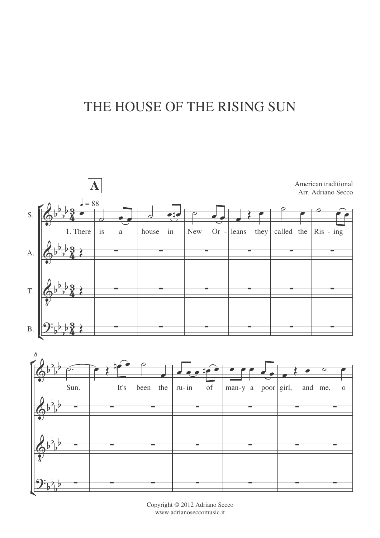## THE HOUSE OF THE RISING SUN



Copyright © 2012 Adriano Secco www.adrianoseccomusic.it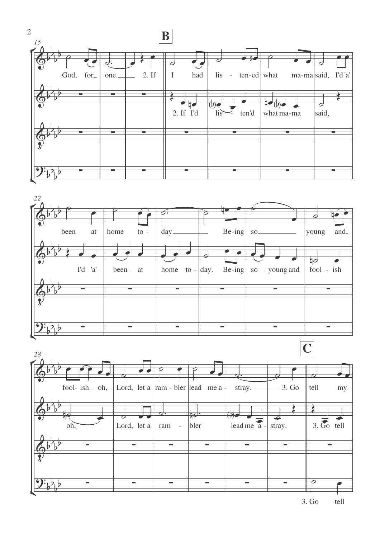





3. Go tell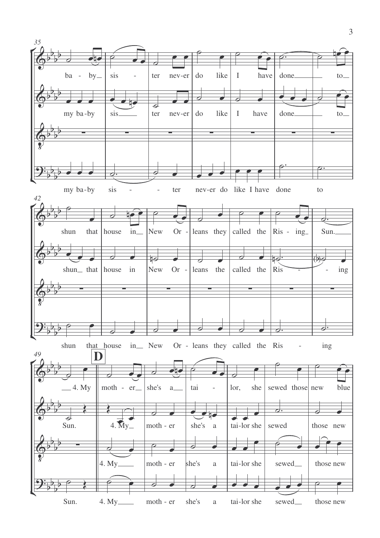

3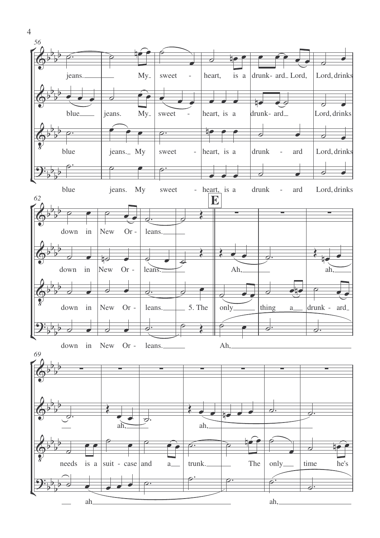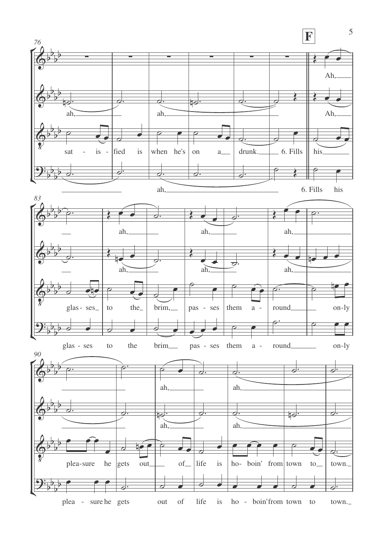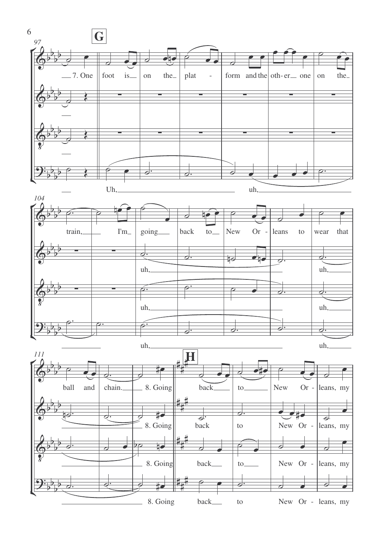![](_page_5_Figure_0.jpeg)